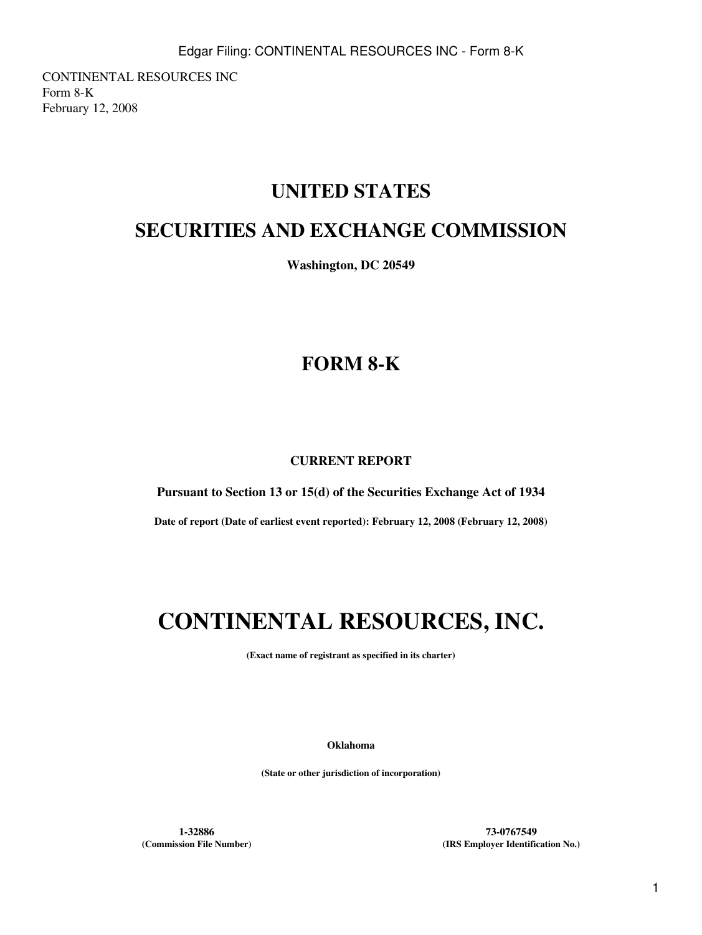CONTINENTAL RESOURCES INC Form 8-K February 12, 2008

## **UNITED STATES**

## **SECURITIES AND EXCHANGE COMMISSION**

**Washington, DC 20549**

## **FORM 8-K**

### **CURRENT REPORT**

**Pursuant to Section 13 or 15(d) of the Securities Exchange Act of 1934**

**Date of report (Date of earliest event reported): February 12, 2008 (February 12, 2008)**

# **CONTINENTAL RESOURCES, INC.**

**(Exact name of registrant as specified in its charter)**

**Oklahoma**

**(State or other jurisdiction of incorporation)**

**1-32886 73-0767549 (Commission File Number) (IRS Employer Identification No.)**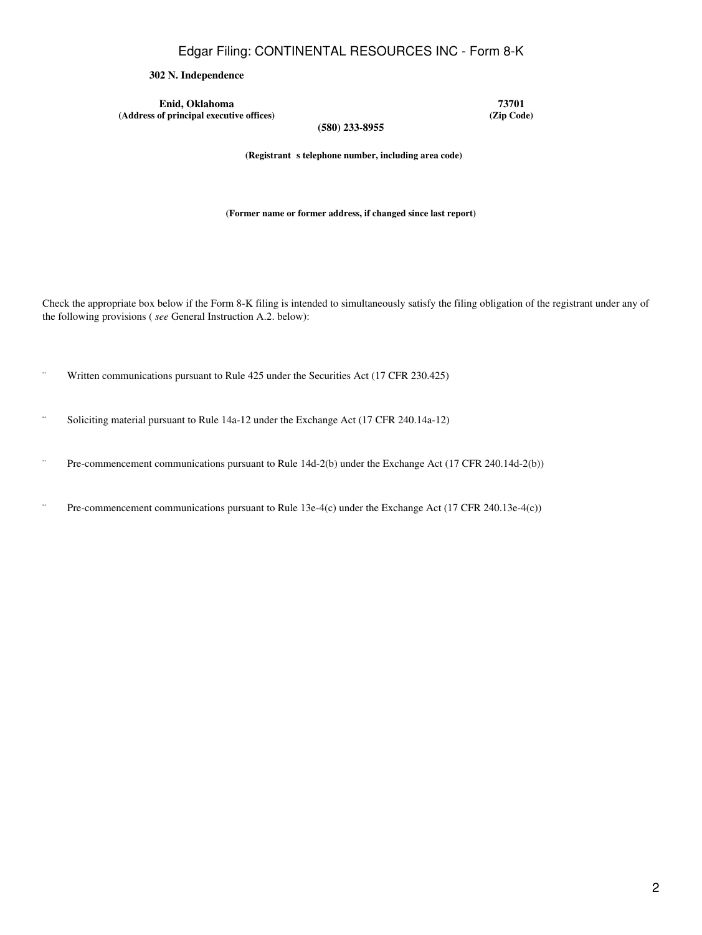Edgar Filing: CONTINENTAL RESOURCES INC - Form 8-K

#### **302 N. Independence**

**Enid, Oklahoma 73701**<br> **1288 1299 1299 1299 1299 1299 1299 1299 1299 1299 1299 1299 1299 1299 1299 1299 1299**  $(A$ ddress of principal executive offices)

**(580) 233-8955**

(Registrant s telephone number, including area code)

**(Former name or former address, if changed since last report)**

Check the appropriate box below if the Form 8-K filing is intended to simultaneously satisfy the filing obligation of the registrant under any of the following provisions ( *see* General Instruction A.2. below):

- ¨ Written communications pursuant to Rule 425 under the Securities Act (17 CFR 230.425)
- ¨ Soliciting material pursuant to Rule 14a-12 under the Exchange Act (17 CFR 240.14a-12)
- ¨ Pre-commencement communications pursuant to Rule 14d-2(b) under the Exchange Act (17 CFR 240.14d-2(b))
- ¨ Pre-commencement communications pursuant to Rule 13e-4(c) under the Exchange Act (17 CFR 240.13e-4(c))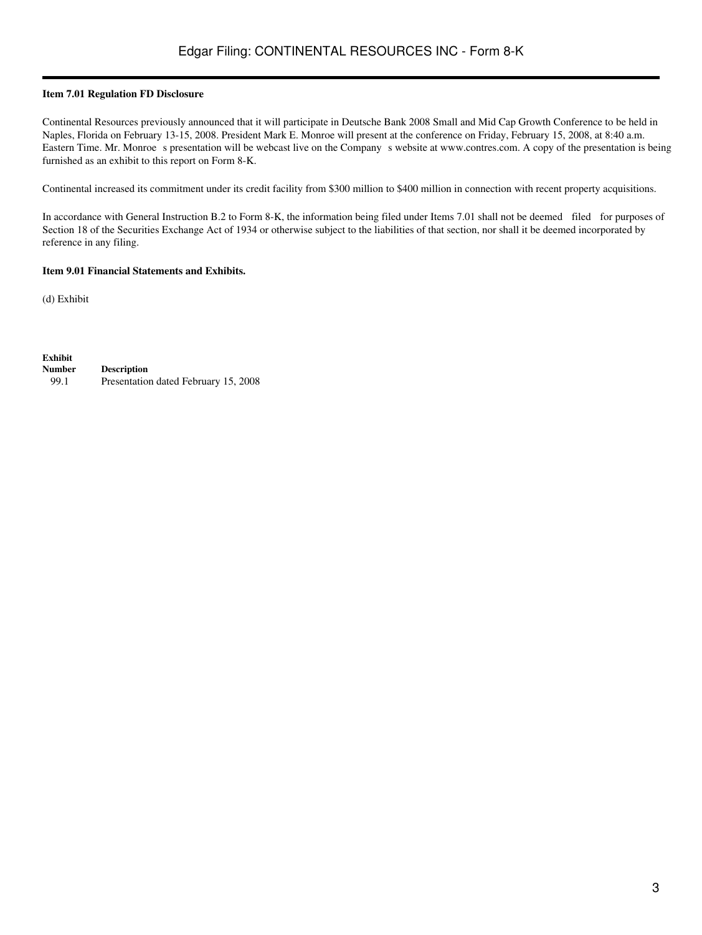#### **Item 7.01 Regulation FD Disclosure**

Continental Resources previously announced that it will participate in Deutsche Bank 2008 Small and Mid Cap Growth Conference to be held in Naples, Florida on February 13-15, 2008. President Mark E. Monroe will present at the conference on Friday, February 15, 2008, at 8:40 a.m. Eastern Time. Mr. Monroe s presentation will be webcast live on the Company s website at www.contres.com. A copy of the presentation is being furnished as an exhibit to this report on Form 8-K.

Continental increased its commitment under its credit facility from \$300 million to \$400 million in connection with recent property acquisitions.

In accordance with General Instruction B.2 to Form 8-K, the information being filed under Items 7.01 shall not be deemed filed for purposes of Section 18 of the Securities Exchange Act of 1934 or otherwise subject to the liabilities of that section, nor shall it be deemed incorporated by reference in any filing.

#### **Item 9.01 Financial Statements and Exhibits.**

(d) Exhibit

**Exhibit Number Description** 99.1 Presentation dated February 15, 2008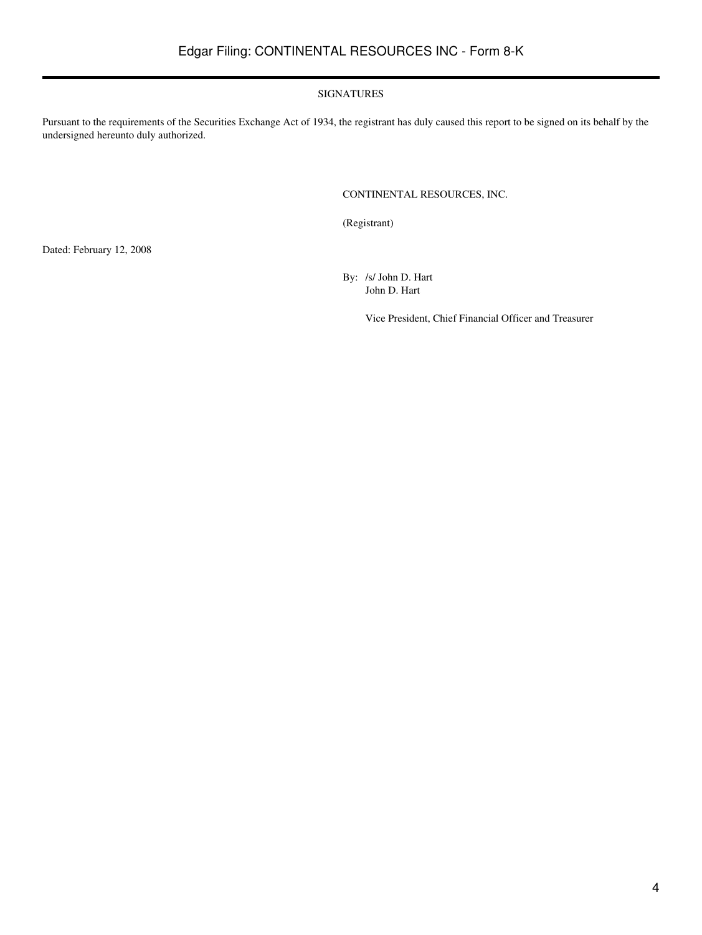#### SIGNATURES

Pursuant to the requirements of the Securities Exchange Act of 1934, the registrant has duly caused this report to be signed on its behalf by the undersigned hereunto duly authorized.

#### CONTINENTAL RESOURCES, INC.

(Registrant)

Dated: February 12, 2008

By: /s/ John D. Hart John D. Hart

Vice President, Chief Financial Officer and Treasurer